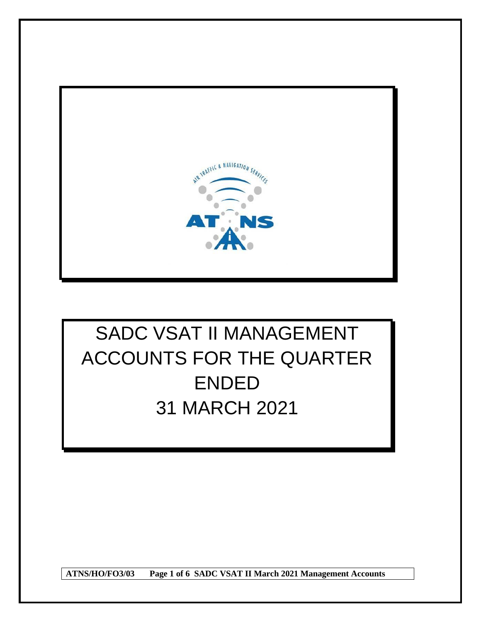

# SADC VSAT II MANAGEMENT ACCOUNTS FOR THE QUARTER ENDED 31 MARCH 2021

**ATNS/HO/FO3/03 Page 1 of 6 SADC VSAT II March 2021 Management Accounts**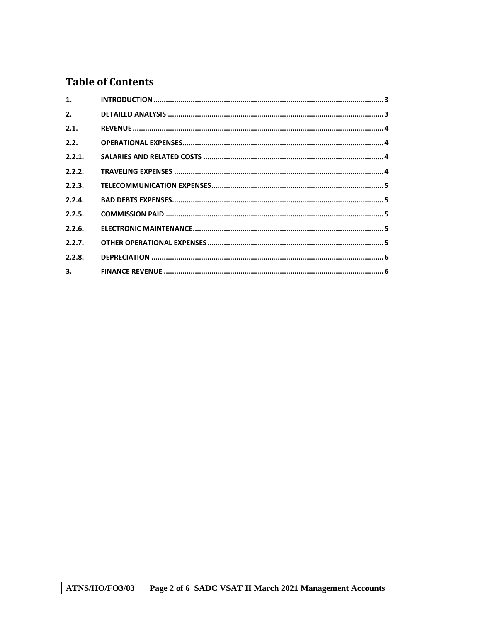# **Table of Contents**

| 1.     |  |
|--------|--|
| 2.     |  |
| 2.1.   |  |
| 2.2.   |  |
| 2.2.1. |  |
| 2.2.2. |  |
| 2.2.3. |  |
| 2.2.4. |  |
| 2.2.5. |  |
| 2.2.6. |  |
| 2.2.7. |  |
| 2.2.8. |  |
| 3.77   |  |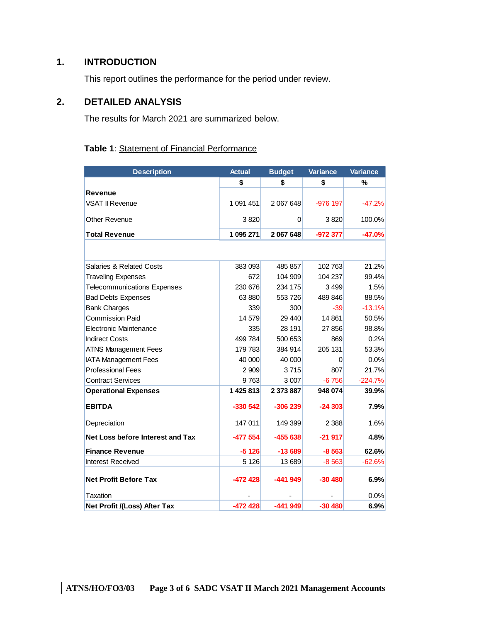# <span id="page-2-0"></span>**1. INTRODUCTION**

This report outlines the performance for the period under review.

# <span id="page-2-1"></span>**2. DETAILED ANALYSIS**

The results for March 2021 are summarized below.

# **Table 1**: Statement of Financial Performance

| <b>Description</b>                  | <b>Actual</b> | <b>Budget</b>  | <b>Variance</b> | <b>Variance</b> |
|-------------------------------------|---------------|----------------|-----------------|-----------------|
|                                     | \$            | \$             | \$              | %               |
| <b>Revenue</b>                      |               |                |                 |                 |
| <b>VSAT II Revenue</b>              | 1 091 451     | 2 067 648      | $-976$ 197      | $-47.2%$        |
| <b>Other Revenue</b>                | 3820          | $\overline{0}$ | 3820            | 100.0%          |
| <b>Total Revenue</b>                | 1 095 271     | 2 067 648      | -972 377        | $-47.0%$        |
|                                     |               |                |                 |                 |
| <b>Salaries &amp; Related Costs</b> | 383 093       | 485 857        | 102763          | 21.2%           |
| <b>Traveling Expenses</b>           | 672           | 104 909        | 104 237         | 99.4%           |
| <b>Telecommunications Expenses</b>  | 230 676       | 234 175        | 3499            | 1.5%            |
| <b>Bad Debts Expenses</b>           | 63 880        | 553726         | 489 846         | 88.5%           |
| <b>Bank Charges</b>                 | 339           | 300            | -39             | $-13.1%$        |
| <b>Commission Paid</b>              | 14 579        | 29 440         | 14 8 61         | 50.5%           |
| Electronic Maintenance              | 335           | 28 191         | 27856           | 98.8%           |
| <b>Indirect Costs</b>               | 499 784       | 500 653        | 869             | 0.2%            |
| <b>ATNS Management Fees</b>         | 179 783       | 384 914        | 205 131         | 53.3%           |
| <b>IATA Management Fees</b>         | 40 000        | 40 000         | 0               | 0.0%            |
| <b>Professional Fees</b>            | 2 9 0 9       | 3715           | 807             | 21.7%           |
| <b>Contract Services</b>            | 9763          | 3 0 0 7        | $-6756$         | $-224.7%$       |
| <b>Operational Expenses</b>         | 1 425 813     | 2 373 887      | 948 074         | 39.9%           |
| <b>EBITDA</b>                       | $-330542$     | $-306239$      | $-24303$        | 7.9%            |
| Depreciation                        | 147 011       | 149 399        | 2 3 8 8         | 1.6%            |
| Net Loss before Interest and Tax    | $-477554$     | $-455638$      | $-21917$        | 4.8%            |
| <b>Finance Revenue</b>              | $-5126$       | $-13689$       | $-8563$         | 62.6%           |
| <b>Interest Received</b>            | 5 1 2 6       | 13 689         | $-8563$         | $-62.6%$        |
| <b>Net Profit Before Tax</b>        | $-472428$     | $-441949$      | $-30480$        | 6.9%            |
| Taxation                            |               |                |                 | 0.0%            |
| Net Profit /(Loss) After Tax        | $-472428$     | $-441949$      | $-30480$        | 6.9%            |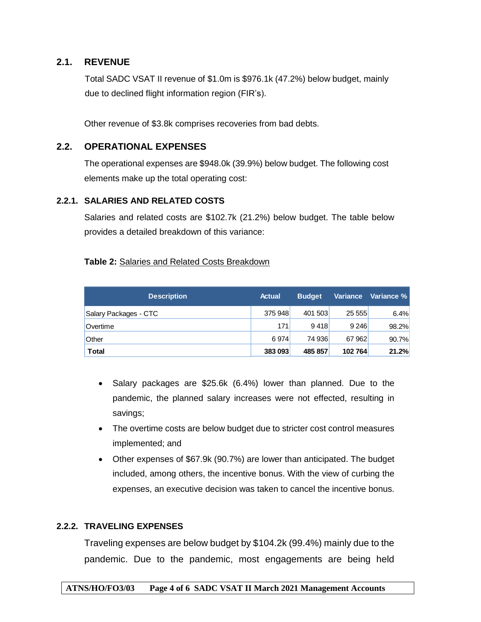# <span id="page-3-0"></span>**2.1. REVENUE**

Total SADC VSAT II revenue of \$1.0m is \$976.1k (47.2%) below budget, mainly due to declined flight information region (FIR's).

Other revenue of \$3.8k comprises recoveries from bad debts.

# <span id="page-3-1"></span>**2.2. OPERATIONAL EXPENSES**

The operational expenses are \$948.0k (39.9%) below budget. The following cost elements make up the total operating cost:

## <span id="page-3-2"></span>**2.2.1. SALARIES AND RELATED COSTS**

Salaries and related costs are \$102.7k (21.2%) below budget. The table below provides a detailed breakdown of this variance:

## **Table 2:** Salaries and Related Costs Breakdown

| <b>Description</b>    | <b>Actual</b> | <b>Budget</b> | <b>Variance</b> | Variance % |
|-----------------------|---------------|---------------|-----------------|------------|
| Salary Packages - CTC | 375 948       | 401 503       | 25 555          | 6.4%       |
| Overtime              | 171           | 9418          | 9 2 4 6         | 98.2%      |
| Other                 | 6974          | 74 936        | 67 962          | 90.7%      |
| <b>Total</b>          | 383 093       | 485 857       | 102 764         | 21.2%      |

- Salary packages are \$25.6k (6.4%) lower than planned. Due to the pandemic, the planned salary increases were not effected, resulting in savings;
- The overtime costs are below budget due to stricter cost control measures implemented; and
- Other expenses of \$67.9k (90.7%) are lower than anticipated. The budget included, among others, the incentive bonus. With the view of curbing the expenses, an executive decision was taken to cancel the incentive bonus.

# <span id="page-3-3"></span>**2.2.2. TRAVELING EXPENSES**

Traveling expenses are below budget by \$104.2k (99.4%) mainly due to the pandemic. Due to the pandemic, most engagements are being held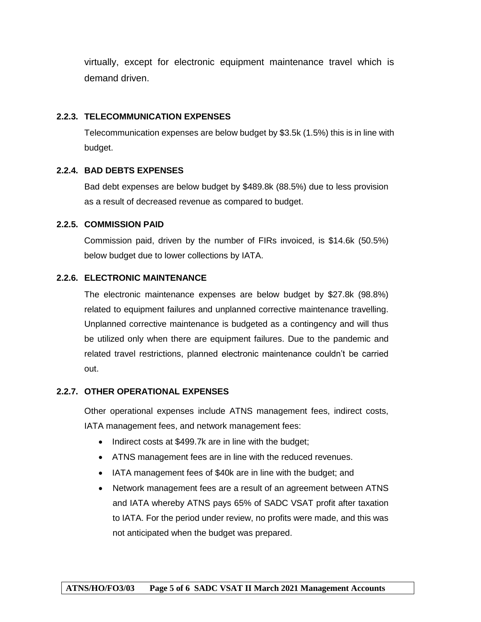virtually, except for electronic equipment maintenance travel which is demand driven.

#### <span id="page-4-0"></span>**2.2.3. TELECOMMUNICATION EXPENSES**

Telecommunication expenses are below budget by \$3.5k (1.5%) this is in line with budget.

## <span id="page-4-1"></span>**2.2.4. BAD DEBTS EXPENSES**

Bad debt expenses are below budget by \$489.8k (88.5%) due to less provision as a result of decreased revenue as compared to budget.

#### <span id="page-4-2"></span>**2.2.5. COMMISSION PAID**

Commission paid, driven by the number of FIRs invoiced, is \$14.6k (50.5%) below budget due to lower collections by IATA.

## <span id="page-4-3"></span>**2.2.6. ELECTRONIC MAINTENANCE**

The electronic maintenance expenses are below budget by \$27.8k (98.8%) related to equipment failures and unplanned corrective maintenance travelling. Unplanned corrective maintenance is budgeted as a contingency and will thus be utilized only when there are equipment failures. Due to the pandemic and related travel restrictions, planned electronic maintenance couldn't be carried out.

#### <span id="page-4-4"></span>**2.2.7. OTHER OPERATIONAL EXPENSES**

Other operational expenses include ATNS management fees, indirect costs, IATA management fees, and network management fees:

- Indirect costs at \$499.7k are in line with the budget;
- ATNS management fees are in line with the reduced revenues.
- IATA management fees of \$40k are in line with the budget; and
- Network management fees are a result of an agreement between ATNS and IATA whereby ATNS pays 65% of SADC VSAT profit after taxation to IATA. For the period under review, no profits were made, and this was not anticipated when the budget was prepared.